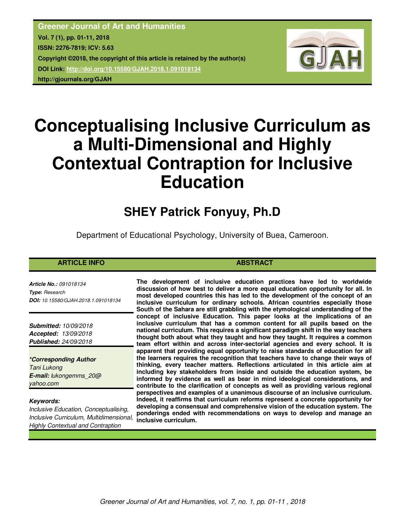**Greener Journal of Art and Humanities Vol. 7 (1), pp. 01-11, 2018 ISSN: 2276-7819; ICV: 5.63 Copyright ©2018, the copyright of this article is retained by the author(s) DOI Link: http://doi.org/10.15580/GJAH.2018.1.091018134 http://gjournals.org/GJAH**



# **Conceptualising Inclusive Curriculum as a Multi-Dimensional and Highly Contextual Contraption for Inclusive Education**

## **SHEY Patrick Fonyuy, Ph.D**

Department of Educational Psychology, University of Buea, Cameroon.

### **ARTICLE INFO ABSTRACT ABSTRACT**

*Article No.: 091018134 Type***:** *Research DOI: 10.15580/GJAH.2018.1.091018134*

*Submitted: 10/09/2018 Accepted: 13/09/2018 Published: 24/09/2018*

*\*Corresponding Author Tani Lukong E-mail: lukongemms\_20@ yahoo.com*

#### *Keywords:*

*Inclusive Education, Conceptualising, Inclusive Curriculum, Multidimensional, Highly Contextual and Contraption*

**The development of inclusive education practices have led to worldwide discussion of how best to deliver a more equal education opportunity for all. In most developed countries this has led to the development of the concept of an inclusive curriculum for ordinary schools. African countries especially those South of the Sahara are still grabbling with the etymological understanding of the concept of inclusive Education. This paper looks at the implications of an inclusive curriculum that has a common content for all pupils based on the national curriculum. This requires a significant paradigm shift in the way teachers thought both about what they taught and how they taught. It requires a common team effort within and across inter-sectorial agencies and every school. It is apparent that providing equal opportunity to raise standards of education for all the learners requires the recognition that teachers have to change their ways of thinking, every teacher matters. Reflections articulated in this article aim at including key stakeholders from inside and outside the education system, be informed by evidence as well as bear in mind ideological considerations, and contribute to the clarification of concepts as well as providing various regional perspectives and examples of a unanimous discourse of an inclusive curriculum. Indeed, it reaffirms that curriculum reforms represent a concrete opportunity for developing a consensual and comprehensive vision of the education system. The ponderings ended with recommendations on ways to develop and manage an inclusive curriculum.**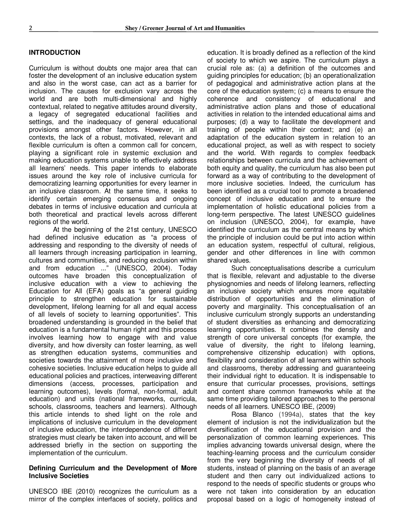#### **INTRODUCTION**

Curriculum is without doubts one major area that can foster the development of an inclusive education system and also in the worst case, can act as a barrier for inclusion. The causes for exclusion vary across the world and are both multi-dimensional and highly contextual, related to negative attitudes around diversity, a legacy of segregated educational facilities and settings, and the inadequacy of general educational provisions amongst other factors. However, in all contexts, the lack of a robust, motivated, relevant and flexible curriculum is often a common call for concern. playing a significant role in systemic exclusion and making education systems unable to effectively address all learners' needs. This paper intends to elaborate issues around the key role of inclusive curricula for democratizing learning opportunities for every learner in an inclusive classroom. At the same time, it seeks to identify certain emerging consensus and ongoing debates in terms of inclusive education and curricula at both theoretical and practical levels across different regions of the world.

At the beginning of the 21st century, UNESCO had defined inclusive education as "a process of addressing and responding to the diversity of needs of all learners through increasing participation in learning, cultures and communities, and reducing exclusion within and from education ..." (UNESCO, 2004). Today outcomes have broaden this conceptualization of inclusive education with a view to achieving the Education for All (EFA) goals as "a general guiding principle to strengthen education for sustainable development, lifelong learning for all and equal access of all levels of society to learning opportunities". This broadened understanding is grounded in the belief that education is a fundamental human right and this process involves learning how to engage with and value diversity, and how diversity can foster learning, as well as strengthen education systems, communities and societies towards the attainment of more inclusive and cohesive societies. Inclusive education helps to guide all educational policies and practices, interweaving different dimensions (access, processes, participation and learning outcomes), levels (formal, non-formal, adult education) and units (national frameworks, curricula, schools, classrooms, teachers and learners). Although this article intends to shed light on the role and implications of inclusive curriculum in the development of inclusive education, the interdependence of different strategies must clearly be taken into account, and will be addressed briefly in the section on supporting the implementation of the curriculum.

#### **Defining Curriculum and the Development of More Inclusive Societies**

UNESCO IBE (2010) recognizes the curriculum as a mirror of the complex interfaces of society, politics and

education. It is broadly defined as a reflection of the kind of society to which we aspire. The curriculum plays a crucial role as: (a) a definition of the outcomes and guiding principles for education; (b) an operationalization of pedagogical and administrative action plans at the core of the education system; (c) a means to ensure the coherence and consistency of educational and administrative action plans and those of educational activities in relation to the intended educational aims and purposes; (d) a way to facilitate the development and training of people within their context; and (e) an adaptation of the education system in relation to an educational project, as well as with respect to society and the world. With regards to complex feedback relationships between curricula and the achievement of both equity and quality, the curriculum has also been put forward as a way of contributing to the development of more inclusive societies. Indeed, the curriculum has been identified as a crucial tool to promote a broadened concept of inclusive education and to ensure the implementation of holistic educational policies from a long-term perspective. The latest UNESCO guidelines on inclusion (UNESCO, 2004), for example, have identified the curriculum as the central means by which the principle of inclusion could be put into action within an education system, respectful of cultural, religious, gender and other differences in line with common shared values.

Such conceptualisations describe a curriculum that is flexible, relevant and adjustable to the diverse physiognomies and needs of lifelong learners, reflecting an inclusive society which ensures more equitable distribution of opportunities and the elimination of poverty and marginality. This conceptualisation of an inclusive curriculum strongly supports an understanding of student diversities as enhancing and democratizing learning opportunities. It combines the density and strength of core universal concepts (for example, the value of diversity, the right to lifelong learning, comprehensive citizenship education) with options, flexibility and consideration of all learners within schools and classrooms, thereby addressing and guaranteeing their individual right to education. It is indispensable to ensure that curricular processes, provisions, settings and content share common frameworks while at the same time providing tailored approaches to the personal needs of all learners. UNESCO IBE, (2009)

Rosa Blanco (1994a), states that the key element of inclusion is not the individualization but the diversification of the educational provision and the personalization of common learning experiences. This implies advancing towards universal design, where the teaching-learning process and the curriculum consider from the very beginning the diversity of needs of all students, instead of planning on the basis of an average student and then carry out individualized actions to respond to the needs of specific students or groups who were not taken into consideration by an education proposal based on a logic of homogeneity instead of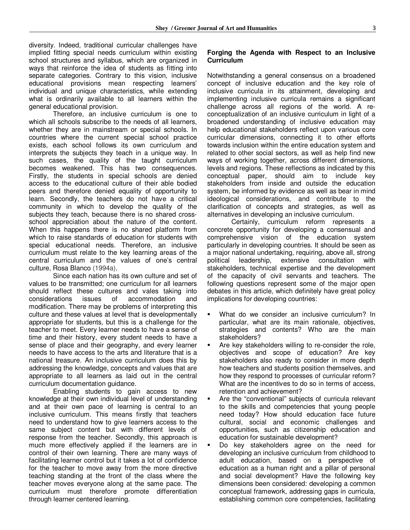diversity. Indeed, traditional curricular challenges have implied fitting special needs curriculum within existing school structures and syllabus, which are organized in ways that reinforce the idea of students as fitting into separate categories. Contrary to this vision, inclusive educational provisions mean respecting learners' individual and unique characteristics, while extending what is ordinarily available to all learners within the general educational provision.

Therefore, an inclusive curriculum is one to which all schools subscribe to the needs of all learners, whether they are in mainstream or special schools. In countries where the current special school practice exists, each school follows its own curriculum and interprets the subjects they teach in a unique way. In such cases, the quality of the taught curriculum becomes weakened. This has two consequences. Firstly, the students in special schools are denied access to the educational culture of their able bodied peers and therefore denied equality of opportunity to learn. Secondly, the teachers do not have a critical community in which to develop the quality of the subjects they teach, because there is no shared crossschool appreciation about the nature of the content. When this happens there is no shared platform from which to raise standards of education for students with special educational needs. Therefore, an inclusive curriculum must relate to the key learning areas of the central curriculum and the values of one's central culture, Rosa Blanco (1994a),

Since each nation has its own culture and set of values to be transmitted; one curriculum for all learners should reflect these cultures and vales taking into considerations issues of accommodation and modification. There may be problems of interpreting this culture and these values at level that is developmentally appropriate for students, but this is a challenge for the teacher to meet. Every learner needs to have a sense of time and their history, every student needs to have a sense of place and their geography, and every learner needs to have access to the arts and literature that is a national treasure. An inclusive curriculum does this by addressing the knowledge, concepts and values that are appropriate to all learners as laid out in the central curriculum documentation guidance.

Enabling students to gain access to new knowledge at their own individual level of understanding and at their own pace of learning is central to an inclusive curriculum. This means firstly that teachers need to understand how to give learners access to the same subject content but with different levels of response from the teacher. Secondly, this approach is much more effectively applied if the learners are in control of their own learning. There are many ways of facilitating learner control but it takes a lot of confidence for the teacher to move away from the more directive teaching standing at the front of the class where the teacher moves everyone along at the same pace. The curriculum must therefore promote differentiation through learner centered learning.

#### **Forging the Agenda with Respect to an Inclusive Curriculum**

Notwithstanding a general consensus on a broadened concept of inclusive education and the key role of inclusive curricula in its attainment, developing and implementing inclusive curricula remains a significant challenge across all regions of the world. A reconceptualization of an inclusive curriculum in light of a broadened understanding of inclusive education may help educational stakeholders reflect upon various core curricular dimensions, connecting it to other efforts towards inclusion within the entire education system and related to other social sectors, as well as help find new ways of working together, across different dimensions, levels and regions. These reflections as indicated by this conceptual paper, should aim to include key stakeholders from inside and outside the education system, be informed by evidence as well as bear in mind ideological considerations, and contribute to the clarification of concepts and strategies, as well as alternatives in developing an inclusive curriculum.

Certainly, curriculum reform represents a concrete opportunity for developing a consensual and comprehensive vision of the education system particularly in developing countries. It should be seen as a major national undertaking, requiring, above all, strong political leadership, extensive consultation with stakeholders, technical expertise and the development of the capacity of civil servants and teachers. The following questions represent some of the major open debates in this article, which definitely have great policy implications for developing countries:

- What do we consider an inclusive curriculum? In particular, what are its main rationale, objectives, strategies and contents? Who are the main stakeholders?
- Are key stakeholders willing to re-consider the role, objectives and scope of education? Are key stakeholders also ready to consider in more depth how teachers and students position themselves, and how they respond to processes of curricular reform? What are the incentives to do so in terms of access, retention and achievement?
- Are the "conventional" subjects of curricula relevant to the skills and competencies that young people need today? How should education face future cultural, social and economic challenges and opportunities, such as citizenship education and education for sustainable development?
- Do key stakeholders agree on the need for developing an inclusive curriculum from childhood to adult education, based on a perspective of education as a human right and a pillar of personal and social development? Have the following key dimensions been considered: developing a common conceptual framework, addressing gaps in curricula, establishing common core competencies, facilitating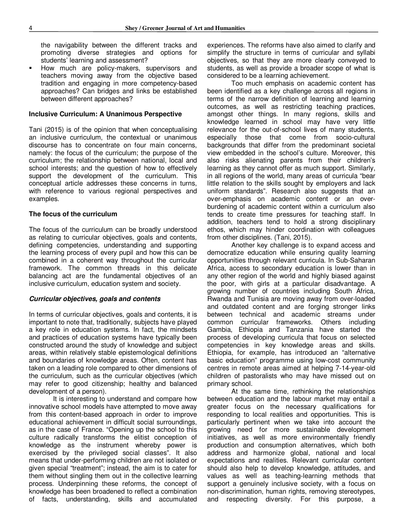the navigability between the different tracks and promoting diverse strategies and options for students' learning and assessment?

 How much are policy-makers, supervisors and teachers moving away from the objective based tradition and engaging in more competency-based approaches? Can bridges and links be established between different approaches?

#### **Inclusive Curriculum: A Unanimous Perspective**

Tani (2015) is of the opinion that when conceptualising an inclusive curriculum, the contextual or unanimous discourse has to concentrate on four main concerns, namely: the focus of the curriculum; the purpose of the curriculum; the relationship between national, local and school interests; and the question of how to effectively support the development of the curriculum. This conceptual article addresses these concerns in turns, with reference to various regional perspectives and examples.

#### **The focus of the curriculum**

The focus of the curriculum can be broadly understood as relating to curricular objectives, goals and contents, defining competencies, understanding and supporting the learning process of every pupil and how this can be combined in a coherent way throughout the curricular framework. The common threads in this delicate balancing act are the fundamental objectives of an inclusive curriculum, education system and society.

#### *Curricular objectives, goals and contents*

In terms of curricular objectives, goals and contents, it is important to note that, traditionally, subjects have played a key role in education systems. In fact, the mindsets and practices of education systems have typically been constructed around the study of knowledge and subject areas, within relatively stable epistemological definitions and boundaries of knowledge areas. Often, content has taken on a leading role compared to other dimensions of the curriculum, such as the curricular objectives (which may refer to good citizenship; healthy and balanced development of a person).

It is interesting to understand and compare how innovative school models have attempted to move away from this content-based approach in order to improve educational achievement in difficult social surroundings, as in the case of France. "Opening up the school to this culture radically transforms the elitist conception of knowledge as the instrument whereby power is exercised by the privileged social classes". It also means that under-performing children are not isolated or given special "treatment"; instead, the aim is to cater for them without singling them out in the collective learning process. Underpinning these reforms, the concept of knowledge has been broadened to reflect a combination of facts, understanding, skills and accumulated

experiences. The reforms have also aimed to clarify and simplify the structure in terms of curricular and syllabi objectives, so that they are more clearly conveyed to students, as well as provide a broader scope of what is considered to be a learning achievement.

Too much emphasis on academic content has been identified as a key challenge across all regions in terms of the narrow definition of learning and learning outcomes, as well as restricting teaching practices, amongst other things. In many regions, skills and knowledge learned in school may have very little relevance for the out-of-school lives of many students, especially those that come from socio-cultural backgrounds that differ from the predominant societal view embedded in the school's culture. Moreover, this also risks alienating parents from their children's learning as they cannot offer as much support. Similarly, in all regions of the world, many areas of curricula "bear little relation to the skills sought by employers and lack uniform standards". Research also suggests that an over-emphasis on academic content or an overburdening of academic content within a curriculum also tends to create time pressures for teaching staff. In addition, teachers tend to hold a strong disciplinary ethos, which may hinder coordination with colleagues from other disciplines. (Tani, 2015).

Another key challenge is to expand access and democratize education while ensuring quality learning opportunities through relevant curricula. In Sub-Saharan Africa, access to secondary education is lower than in any other region of the world and highly biased against the poor, with girls at a particular disadvantage. A growing number of countries including South Africa, Rwanda and Tunisia are moving away from over-loaded and outdated content and are forging stronger links between technical and academic streams under common curricular frameworks. Others including Gambia, Ethiopia and Tanzania have started the process of developing curricula that focus on selected competencies in key knowledge areas and skills. Ethiopia, for example, has introduced an "alternative basic education" programme using low-cost community centres in remote areas aimed at helping 7-14-year-old children of pastoralists who may have missed out on primary school.

At the same time, rethinking the relationships between education and the labour market may entail a greater focus on the necessary qualifications for responding to local realities and opportunities. This is particularly pertinent when we take into account the growing need for more sustainable development initiatives, as well as more environmentally friendly production and consumption alternatives, which both address and harmonize global, national and local expectations and realities. Relevant curricular content should also help to develop knowledge, attitudes, and values as well as teaching-learning methods that support a genuinely inclusive society, with a focus on non-discrimination, human rights, removing stereotypes, and respecting diversity. For this purpose, a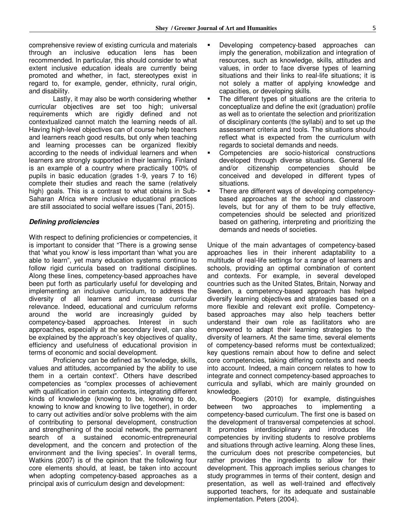comprehensive review of existing curricula and materials through an inclusive education lens has been recommended. In particular, this should consider to what extent inclusive education ideals are currently being promoted and whether, in fact, stereotypes exist in regard to, for example, gender, ethnicity, rural origin, and disability.

Lastly, it may also be worth considering whether curricular objectives are set too high; universal requirements which are rigidly defined and not contextualized cannot match the learning needs of all. Having high-level objectives can of course help teachers and learners reach good results, but only when teaching and learning processes can be organized flexibly according to the needs of individual learners and when learners are strongly supported in their learning. Finland is an example of a country where practically 100% of pupils in basic education (grades 1-9, years 7 to 16) complete their studies and reach the same (relatively high) goals. This is a contrast to what obtains in Sub-Saharan Africa where inclusive educational practices are still associated to social welfare issues (Tani, 2015).

#### *Defining proficiencies*

With respect to defining proficiencies or competencies, it is important to consider that "There is a growing sense that 'what you know' is less important than 'what you are able to learn", yet many education systems continue to follow rigid curricula based on traditional disciplines. Along these lines, competency-based approaches have been put forth as particularly useful for developing and implementing an inclusive curriculum, to address the diversity of all learners and increase curricular relevance. Indeed, educational and curriculum reforms around the world are increasingly guided by competency-based approaches. Interest in such approaches, especially at the secondary level, can also be explained by the approach's key objectives of quality, efficiency and usefulness of educational provision in terms of economic and social development.

Proficiency can be defined as "knowledge, skills, values and attitudes, accompanied by the ability to use them in a certain context". Others have described competencies as "complex processes of achievement with qualification in certain contexts, integrating different kinds of knowledge (knowing to be, knowing to do, knowing to know and knowing to live together), in order to carry out activities and/or solve problems with the aim of contributing to personal development, construction and strengthening of the social network, the permanent search of a sustained economic-entrepreneurial development, and the concern and protection of the environment and the living species". In overall terms, Watkins (2007) is of the opinion that the following four core elements should, at least, be taken into account when adopting competency-based approaches as a principal axis of curriculum design and development:

- Developing competency-based approaches can imply the generation, mobilization and integration of resources, such as knowledge, skills, attitudes and values, in order to face diverse types of learning situations and their links to real-life situations; it is not solely a matter of applying knowledge and capacities, or developing skills.
- The different types of situations are the criteria to conceptualize and define the exit (graduation) profile as well as to orientate the selection and prioritization of disciplinary contents (the syllabi) and to set up the assessment criteria and tools. The situations should reflect what is expected from the curriculum with regards to societal demands and needs.
- Competencies are socio-historical constructions developed through diverse situations. General life and/or citizenship competencies should be conceived and developed in different types of situations.
- There are different ways of developing competencybased approaches at the school and classroom levels, but for any of them to be truly effective, competencies should be selected and prioritized based on gathering, interpreting and prioritizing the demands and needs of societies.

Unique of the main advantages of competency-based approaches lies in their inherent adaptability to a multitude of real-life settings for a range of learners and schools, providing an optimal combination of content and contexts. For example, in several developed countries such as the United States, Britain, Norway and Sweden, a competency-based approach has helped diversify learning objectives and strategies based on a more flexible and relevant exit profile. Competencybased approaches may also help teachers better understand their own role as facilitators who are empowered to adapt their learning strategies to the diversity of learners. At the same time, several elements of competency-based reforms must be contextualized; key questions remain about how to define and select core competencies, taking differing contexts and needs into account. Indeed, a main concern relates to how to integrate and connect competency-based approaches to curricula and syllabi, which are mainly grounded on knowledge.

Roegiers (2010) for example, distinguishes between two approaches to implementing a competency-based curriculum. The first one is based on the development of transversal competencies at school. It promotes interdisciplinary and introduces life competencies by inviting students to resolve problems and situations through active learning. Along these lines, the curriculum does not prescribe competencies, but rather provides the ingredients to allow for their development. This approach implies serious changes to study programmes in terms of their content, design and presentation, as well as well-trained and effectively supported teachers, for its adequate and sustainable implementation. Peters (2004).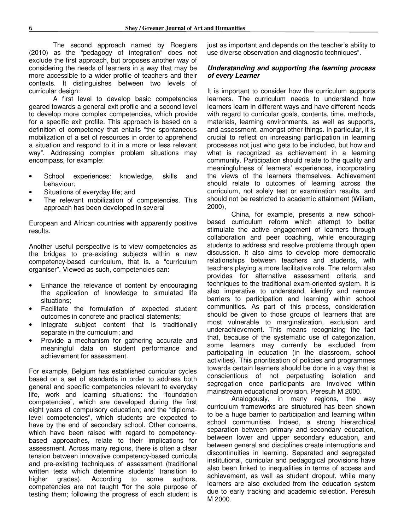The second approach named by Roegiers (2010) as the "pedagogy of integration" does not exclude the first approach, but proposes another way of considering the needs of learners in a way that may be more accessible to a wider profile of teachers and their contexts. It distinguishes between two levels of curricular design:

A first level to develop basic competencies geared towards a general exit profile and a second level to develop more complex competencies, which provide for a specific exit profile. This approach is based on a definition of competency that entails "the spontaneous mobilization of a set of resources in order to apprehend a situation and respond to it in a more or less relevant way". Addressing complex problem situations may encompass, for example:

- School experiences: knowledge, skills and behaviour;
- Situations of everyday life; and
- The relevant mobilization of competencies. This approach has been developed in several

European and African countries with apparently positive results.

Another useful perspective is to view competencies as the bridges to pre-existing subjects within a new competency-based curriculum, that is. a "curriculum organiser". Viewed as such, competencies can:

- Enhance the relevance of content by encouraging the application of knowledge to simulated life situations;
- Facilitate the formulation of expected student outcomes in concrete and practical statements;
- Integrate subject content that is traditionally separate in the curriculum; and
- Provide a mechanism for gathering accurate and meaningful data on student performance and achievement for assessment.

For example, Belgium has established curricular cycles based on a set of standards in order to address both general and specific competencies relevant to everyday life, work and learning situations: the "foundation competencies", which are developed during the first eight years of compulsory education; and the "diplomalevel competencies", which students are expected to have by the end of secondary school. Other concerns, which have been raised with regard to competencybased approaches, relate to their implications for assessment. Across many regions, there is often a clear tension between innovative competency-based curricula and pre-existing techniques of assessment (traditional written tests which determine students' transition to higher grades). According to some authors, competencies are not taught "for the sole purpose of testing them; following the progress of each student is

just as important and depends on the teacher's ability to use diverse observation and diagnostic techniques".

#### *Understanding and supporting the learning process of every Learner*

It is important to consider how the curriculum supports learners. The curriculum needs to understand how learners learn in different ways and have different needs with regard to curricular goals, contents, time, methods, materials, learning environments, as well as supports, and assessment, amongst other things. In particular, it is crucial to reflect on increasing participation in learning processes not just who gets to be included, but how and what is recognized as achievement in a learning community. Participation should relate to the quality and meaningfulness of learners' experiences, incorporating the views of the learners themselves. Achievement should relate to outcomes of learning across the curriculum, not solely test or examination results, and should not be restricted to academic attainment (Wiliam, 2000),

China, for example, presents a new schoolbased curriculum reform which attempt to better stimulate the active engagement of learners through collaboration and peer coaching, while encouraging students to address and resolve problems through open discussion. It also aims to develop more democratic relationships between teachers and students, with teachers playing a more facilitative role. The reform also provides for alternative assessment criteria and techniques to the traditional exam-oriented system. It is also imperative to understand, identify and remove barriers to participation and learning within school communities. As part of this process, consideration should be given to those groups of learners that are most vulnerable to marginalization, exclusion and underachievement. This means recognizing the fact that, because of the systematic use of categorization, some learners may currently be excluded from participating in education (in the classroom, school activities). This prioritisation of policies and programmes towards certain learners should be done in a way that is conscientious of not perpetuating isolation and segregation once participants are involved within mainstream educational provision. Peresuh M 2000.

Analogously, in many regions, the way curriculum frameworks are structured has been shown to be a huge barrier to participation and learning within school communities. Indeed, a strong hierarchical separation between primary and secondary education, between lower and upper secondary education, and between general and disciplines create interruptions and discontinuities in learning. Separated and segregated institutional, curricular and pedagogical provisions have also been linked to inequalities in terms of access and achievement, as well as student dropout, while many learners are also excluded from the education system due to early tracking and academic selection. Peresuh M 2000.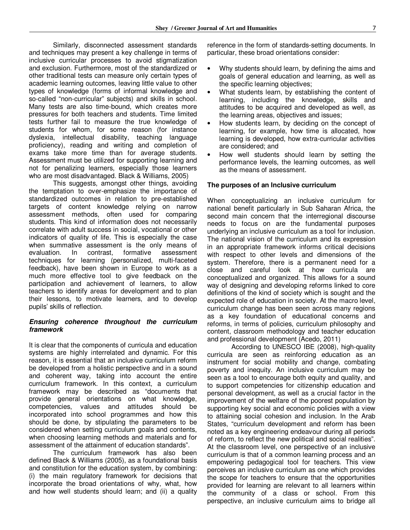Similarly, disconnected assessment standards and techniques may present a key challenge in terms of inclusive curricular processes to avoid stigmatization and exclusion. Furthermore, most of the standardized or other traditional tests can measure only certain types of academic learning outcomes, leaving little value to other types of knowledge (forms of informal knowledge and so-called "non-curricular" subjects) and skills in school. Many tests are also time-bound, which creates more pressures for both teachers and students. Time limited tests further fail to measure the true knowledge of students for whom, for some reason (for instance dyslexia, intellectual disability, teaching language proficiency), reading and writing and completion of exams take more time than for average students. Assessment must be utilized for supporting learning and not for penalizing learners, especially those learners who are most disadvantaged. Black & Williams, 2005)

This suggests, amongst other things, avoiding the temptation to over-emphasize the importance of standardized outcomes in relation to pre-established targets of content knowledge relying on narrow assessment methods, often used for comparing students. This kind of information does not necessarily correlate with adult success in social, vocational or other indicators of quality of life. This is especially the case when summative assessment is the only means of evaluation. In contrast, formative assessment techniques for learning (personalized, multi-faceted feedback), have been shown in Europe to work as a much more effective tool to give feedback on the participation and achievement of learners, to allow teachers to identify areas for development and to plan their lessons, to motivate learners, and to develop pupils' skills of reflection.

#### *Ensuring coherence throughout the curriculum framework*

It is clear that the components of curricula and education systems are highly interrelated and dynamic. For this reason, it is essential that an inclusive curriculum reform be developed from a holistic perspective and in a sound and coherent way, taking into account the entire curriculum framework. In this context, a curriculum framework may be described as "documents that provide general orientations on what knowledge, competencies, values and attitudes should be incorporated into school programmes and how this should be done, by stipulating the parameters to be considered when setting curriculum goals and contents, when choosing learning methods and materials and for assessment of the attainment of education standards".

The curriculum framework has also been defined Black & Williams (2005), as a foundational basis and constitution for the education system, by combining: (i) the main regulatory framework for decisions that incorporate the broad orientations of why, what, how and how well students should learn; and (ii) a quality reference in the form of standards-setting documents. In particular, these broad orientations consider:

- Why students should learn, by defining the aims and goals of general education and learning, as well as the specific learning objectives;
- What students learn, by establishing the content of learning, including the knowledge, skills and attitudes to be acquired and developed as well, as the learning areas, objectives and issues;
- How students learn, by deciding on the concept of learning, for example, how time is allocated, how learning is developed, how extra-curricular activities are considered; and
- How well students should learn by setting the performance levels, the learning outcomes, as well as the means of assessment.

#### **The purposes of an Inclusive curriculum**

When conceptualizing an inclusive curriculum for national benefit particularly in Sub Saharan Africa, the second main concern that the interregional discourse needs to focus on are the fundamental purposes underlying an inclusive curriculum as a tool for inclusion. The national vision of the curriculum and its expression in an appropriate framework informs critical decisions with respect to other levels and dimensions of the system. Therefore, there is a permanent need for a close and careful look at how curricula are conceptualized and organized. This allows for a sound way of designing and developing reforms linked to core definitions of the kind of society which is sought and the expected role of education in society. At the macro level, curriculum change has been seen across many regions as a key foundation of educational concerns and reforms, in terms of policies, curriculum philosophy and content, classroom methodology and teacher education and professional development (Acedo, 2011)

According to UNESCO IBE (2008), high-quality curricula are seen as reinforcing education as an instrument for social mobility and change, combating poverty and inequity. An inclusive curriculum may be seen as a tool to encourage both equity and quality, and to support competencies for citizenship education and personal development, as well as a crucial factor in the improvement of the welfare of the poorest population by supporting key social and economic policies with a view to attaining social cohesion and inclusion. In the Arab States, "curriculum development and reform has been noted as a key engineering endeavour during all periods of reform, to reflect the new political and social realities". At the classroom level, one perspective of an inclusive curriculum is that of a common learning process and an empowering pedagogical tool for teachers. This view perceives an inclusive curriculum as one which provides the scope for teachers to ensure that the opportunities provided for learning are relevant to all learners within the community of a class or school. From this perspective, an inclusive curriculum aims to bridge all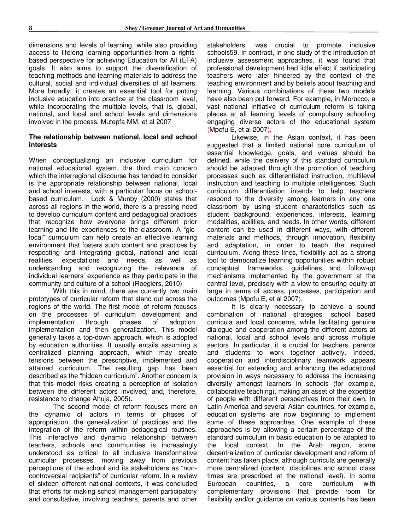dimensions and levels of learning, while also providing access to lifelong learning opportunities from a rightsbased perspective for achieving Education for All (EFA) goals. It also aims to support the diversification of teaching methods and learning materials to address the cultural, social and individual diversities of all learners. More broadly, it creates an essential tool for putting inclusive education into practice at the classroom level, while incorporating the multiple levels, that is, global, national, and local and school levels and dimensions involved in the process. Mutepfa MM, et al 2007

#### **The relationship between national, local and school interests**

When conceptualizing an inclusive curriculum for national educational system, the third main concern which the interregional discourse has tended to consider is the appropriate relationship between national, local and school interests, with a particular focus on schoolbased curriculum. Lock & Munby (2000) states that across all regions in the world, there is a pressing need to develop curriculum content and pedagogical practices that recognize how everyone brings different prior learning and life experiences to the classroom. A "glolocal" curriculum can help create an effective learning environment that fosters such content and practices by respecting and integrating global, national and local realities, expectations and needs, as well as understanding and recognizing the relevance of individual learners' experience as they participate in the community and culture of a school (Roegiers, 2010)

With this in mind, there are currently two main prototypes of curricular reform that stand out across the regions of the world. The first model of reform focuses on the processes of curriculum development and<br>implementation through phases of adoption. implementation through phases of implementation and then generalization. This model generally takes a top-down approach, which is adopted by education authorities. It usually entails assuming a centralized planning approach, which may create tensions between the prescriptive, implemented and attained curriculum. The resulting gap has been described as the "hidden curriculum". Another concern is that this model risks creating a perception of isolation between the different actors involved, and, therefore, resistance to change Ahuja, 2005).

The second model of reform focuses more on the dynamic of actors in terms of phases of appropriation, the generalization of practices and the integration of the reform within pedagogical routines. This interactive and dynamic relationship between teachers, schools and communities is increasingly understood as critical to all inclusive transformative curricular processes, moving away from previous perceptions of the school and its stakeholders as "noncontroversial recipients" of curricular reform. In a review of sixteen different national contexts, it was concluded that efforts for making school management participatory and consultative, involving teachers, parents and other

stakeholders, was crucial to promote inclusive schools59. In contrast, in one study of the introduction of inclusive assessment approaches, it was found that professional development had little effect if participating teachers were later hindered by the context of the teaching environment and by beliefs about teaching and learning. Various combinations of these two models have also been put forward. For example, in Morocco, a vast national initiative of curriculum reform is taking places at all learning levels of compulsory schooling engaging diverse actors of the educational system (Mpofu E, et al 2007).

Likewise, in the Asian context, it has been suggested that a limited national core curriculum of essential knowledge, goals, and values should be defined, while the delivery of this standard curriculum should be adapted through the promotion of teaching processes such as differentiated instruction, multilevel instruction and teaching to multiple intelligences. Such curriculum differentiation intends to help teachers respond to the diversity among learners in any one classroom by using student characteristics such as student background, experiences, interests, learning modalities, abilities, and needs. In other words, different content can be used in different ways, with different materials and methods, through innovation, flexibility and adaptation, in order to teach the required curriculum. Along these lines, flexibility act as a strong tool to democratize learning opportunities within robust conceptual frameworks, guidelines and follow-up mechanisms implemented by the government at the central level, precisely with a view to ensuring equity at large in terms of access, processes, participation and outcomes (Mpofu E, et al 2007).

It is clearly necessary to achieve a sound combination of national strategies, school based curricula and local concerns, while facilitating genuine dialogue and cooperation among the different actors at national, local and school levels and across multiple sectors. In particular, it is crucial for teachers, parents and students to work together actively. Indeed, cooperation and interdisciplinary teamwork appears essential for extending and enhancing the educational provision in ways necessary to address the increasing diversity amongst learners in schools (for example, collaborative teaching), making an asset of the expertise of people with different perspectives from their own. In Latin America and several Asian countries, for example, education systems are now beginning to implement some of these approaches. One example of these approaches is by allowing a certain percentage of the standard curriculum in basic education to be adapted to the local context. In the Arab region, some decentralization of curricular development and reform of content has taken place, although curricula are generally more centralized (content, disciplines and school class times are prescribed at the national level). In some European countries, a core curriculum with complementary provisions that provide room for flexibility and/or guidance on various contents has been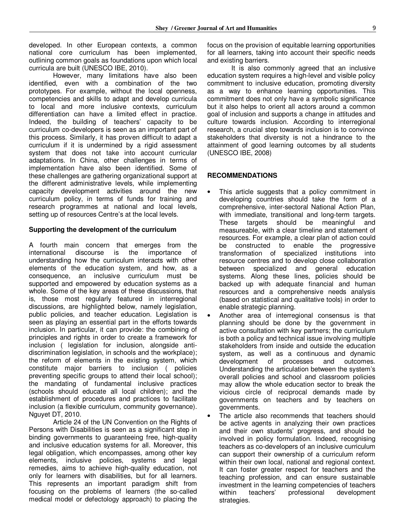developed. In other European contexts, a common national core curriculum has been implemented, outlining common goals as foundations upon which local curricula are built (UNESCO IBE, 2010).

However, many limitations have also been identified, even with a combination of the two prototypes. For example, without the local openness, competencies and skills to adapt and develop curricula to local and more inclusive contexts, curriculum differentiation can have a limited effect in practice. Indeed, the building of teachers' capacity to be curriculum co-developers is seen as an important part of this process. Similarly, it has proven difficult to adapt a curriculum if it is undermined by a rigid assessment system that does not take into account curricular adaptations. In China, other challenges in terms of implementation have also been identified. Some of these challenges are gathering organizational support at the different administrative levels, while implementing capacity development activities around the new curriculum policy, in terms of funds for training and research programmes at national and local levels, setting up of resources Centre's at the local levels.

#### **Supporting the development of the curriculum**

A fourth main concern that emerges from the international discourse is the importance of understanding how the curriculum interacts with other elements of the education system, and how, as a consequence, an inclusive curriculum must be supported and empowered by education systems as a whole. Some of the key areas of these discussions, that is, those most regularly featured in interregional discussions, are highlighted below, namely legislation, public policies, and teacher education. Legislation is seen as playing an essential part in the efforts towards inclusion. In particular, it can provide: the combining of principles and rights in order to create a framework for inclusion ( legislation for inclusion, alongside antidiscrimination legislation, in schools and the workplace); the reform of elements in the existing system, which constitute major barriers to inclusion ( policies preventing specific groups to attend their local school); the mandating of fundamental inclusive practices (schools should educate all local children); and the establishment of procedures and practices to facilitate inclusion (a flexible curriculum, community governance). Nguyet DT, 2010.

Article 24 of the UN Convention on the Rights of Persons with Disabilities is seen as a significant step in binding governments to guaranteeing free, high-quality and inclusive education systems for all. Moreover, this legal obligation, which encompasses, among other key elements, inclusive policies, systems and legal remedies, aims to achieve high-quality education, not only for learners with disabilities, but for all learners. This represents an important paradigm shift from focusing on the problems of learners (the so-called medical model or defectology approach) to placing the

focus on the provision of equitable learning opportunities for all learners, taking into account their specific needs and existing barriers.

It is also commonly agreed that an inclusive education system requires a high-level and visible policy commitment to inclusive education, promoting diversity as a way to enhance learning opportunities. This commitment does not only have a symbolic significance but it also helps to orient all actors around a common goal of inclusion and supports a change in attitudes and culture towards inclusion. According to interregional research, a crucial step towards inclusion is to convince stakeholders that diversity is not a hindrance to the attainment of good learning outcomes by all students (UNESCO IBE, 2008)

### **RECOMMENDATIONS**

- This article suggests that a policy commitment in developing countries should take the form of a comprehensive, inter-sectoral National Action Plan, with immediate, transitional and long-term targets. These targets should be meaningful and measureable, with a clear timeline and statement of resources. For example, a clear plan of action could be constructed to enable the progressive transformation of specialized institutions into resource centres and to develop close collaboration between specialized and general education systems. Along these lines, policies should be backed up with adequate financial and human resources and a comprehensive needs analysis (based on statistical and qualitative tools) in order to enable strategic planning.
- Another area of interregional consensus is that planning should be done by the government in active consultation with key partners; the curriculum is both a policy and technical issue involving multiple stakeholders from inside and outside the education system, as well as a continuous and dynamic development of processes and outcomes. Understanding the articulation between the system's overall policies and school and classroom policies may allow the whole education sector to break the vicious circle of reciprocal demands made by governments on teachers and by teachers on governments.
- The article also recommends that teachers should be active agents in analyzing their own practices and their own students' progress, and should be involved in policy formulation. Indeed, recognising teachers as co-developers of an inclusive curriculum can support their ownership of a curriculum reform within their own local, national and regional context. It can foster greater respect for teachers and the teaching profession, and can ensure sustainable investment in the learning competencies of teachers within teachers' professional development strategies.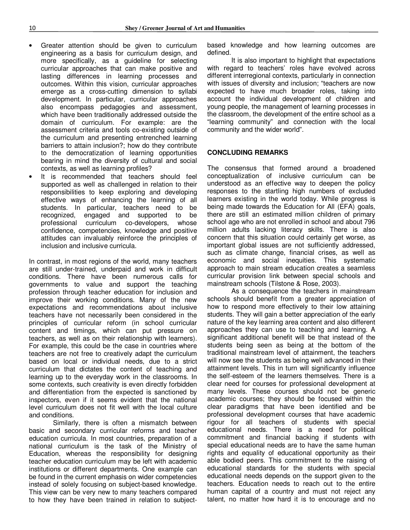- Greater attention should be given to curriculum engineering as a basis for curriculum design, and more specifically, as a guideline for selecting curricular approaches that can make positive and lasting differences in learning processes and outcomes. Within this vision, curricular approaches emerge as a cross-cutting dimension to syllabi development. In particular, curricular approaches also encompass pedagogies and assessment, which have been traditionally addressed outside the domain of curriculum. For example: are the assessment criteria and tools co-existing outside of the curriculum and presenting entrenched learning barriers to attain inclusion?; how do they contribute to the democratization of learning opportunities bearing in mind the diversity of cultural and social contexts, as well as learning profiles?
- It is recommended that teachers should feel supported as well as challenged in relation to their responsibilities to keep exploring and developing effective ways of enhancing the learning of all students. In particular, teachers need to be recognized, engaged and supported to be professional curriculum co-developers, whose confidence, competencies, knowledge and positive attitudes can invaluably reinforce the principles of inclusion and inclusive curricula.

In contrast, in most regions of the world, many teachers are still under-trained, underpaid and work in difficult conditions. There have been numerous calls for governments to value and support the teaching profession through teacher education for inclusion and improve their working conditions. Many of the new expectations and recommendations about inclusive teachers have not necessarily been considered in the principles of curricular reform (in school curricular content and timings, which can put pressure on teachers, as well as on their relationship with learners). For example, this could be the case in countries where teachers are not free to creatively adapt the curriculum based on local or individual needs, due to a strict curriculum that dictates the content of teaching and learning up to the everyday work in the classrooms. In some contexts, such creativity is even directly forbidden and differentiation from the expected is sanctioned by inspectors, even if it seems evident that the national level curriculum does not fit well with the local culture and conditions.

Similarly, there is often a mismatch between basic and secondary curricular reforms and teacher education curricula. In most countries, preparation of a national curriculum is the task of the Ministry of Education, whereas the responsibility for designing teacher education curriculum may be left with academic institutions or different departments. One example can be found in the current emphasis on wider competencies instead of solely focusing on subject-based knowledge. This view can be very new to many teachers compared to how they have been trained in relation to subjectbased knowledge and how learning outcomes are defined.

It is also important to highlight that expectations with regard to teachers' roles have evolved across different interregional contexts, particularly in connection with issues of diversity and inclusion; "teachers are now expected to have much broader roles, taking into account the individual development of children and young people, the management of learning processes in the classroom, the development of the entire school as a "learning community" and connection with the local community and the wider world".

#### **CONCLUDING REMARKS**

The consensus that formed around a broadened conceptualization of inclusive curriculum can be understood as an effective way to deepen the policy responses to the startling high numbers of excluded learners existing in the world today. While progress is being made towards the Education for All (EFA) goals, there are still an estimated million children of primary school age who are not enrolled in school and about 796 million adults lacking literacy skills. There is also concern that this situation could certainly get worse, as important global issues are not sufficiently addressed, such as climate change, financial crises, as well as economic and social inequities. This systematic approach to main stream education creates a seamless curricular provision link between special schools and mainstream schools (Tilstone & Rose, 2003).

As a consequence the teachers in mainstream schools should benefit from a greater appreciation of how to respond more effectively to their low attaining students. They will gain a better appreciation of the early nature of the key learning area content and also different approaches they can use to teaching and learning. A significant additional benefit will be that instead of the students being seen as being at the bottom of the traditional mainstream level of attainment, the teachers will now see the students as being well advanced in their attainment levels. This in turn will significantly influence the self-esteem of the learners themselves. There is a clear need for courses for professional development at many levels. These courses should not be generic academic courses; they should be focused within the clear paradigms that have been identified and be professional development courses that have academic rigour for all teachers of students with special educational needs. There is a need for political commitment and financial backing if students with special educational needs are to have the same human rights and equality of educational opportunity as their able bodied peers. This commitment to the raising of educational standards for the students with special educational needs depends on the support given to the teachers. Education needs to reach out to the entire human capital of a country and must not reject any talent, no matter how hard it is to encourage and no